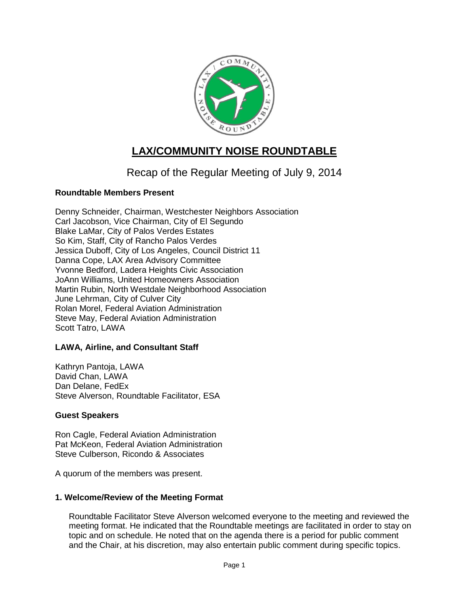

# **LAX/COMMUNITY NOISE ROUNDTABLE**

## Recap of the Regular Meeting of July 9, 2014

## **Roundtable Members Present**

Denny Schneider, Chairman, Westchester Neighbors Association Carl Jacobson, Vice Chairman, City of El Segundo Blake LaMar, City of Palos Verdes Estates So Kim, Staff, City of Rancho Palos Verdes Jessica Duboff, City of Los Angeles, Council District 11 Danna Cope, LAX Area Advisory Committee Yvonne Bedford, Ladera Heights Civic Association JoAnn Williams, United Homeowners Association Martin Rubin, North Westdale Neighborhood Association June Lehrman, City of Culver City Rolan Morel, Federal Aviation Administration Steve May, Federal Aviation Administration Scott Tatro, LAWA

## **LAWA, Airline, and Consultant Staff**

Kathryn Pantoja, LAWA David Chan, LAWA Dan Delane, FedEx Steve Alverson, Roundtable Facilitator, ESA

#### **Guest Speakers**

Ron Cagle, Federal Aviation Administration Pat McKeon, Federal Aviation Administration Steve Culberson, Ricondo & Associates

A quorum of the members was present.

#### **1. Welcome/Review of the Meeting Format**

Roundtable Facilitator Steve Alverson welcomed everyone to the meeting and reviewed the meeting format. He indicated that the Roundtable meetings are facilitated in order to stay on topic and on schedule. He noted that on the agenda there is a period for public comment and the Chair, at his discretion, may also entertain public comment during specific topics.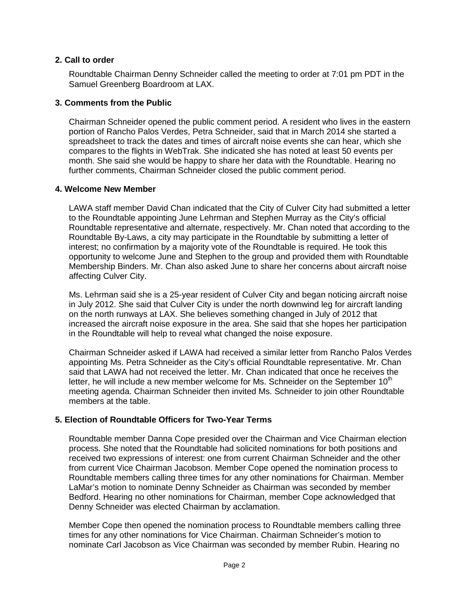#### **2. Call to order**

Roundtable Chairman Denny Schneider called the meeting to order at 7:01 pm PDT in the Samuel Greenberg Boardroom at LAX.

## **3. Comments from the Public**

Chairman Schneider opened the public comment period. A resident who lives in the eastern portion of Rancho Palos Verdes, Petra Schneider, said that in March 2014 she started a spreadsheet to track the dates and times of aircraft noise events she can hear, which she compares to the flights in WebTrak. She indicated she has noted at least 50 events per month. She said she would be happy to share her data with the Roundtable. Hearing no further comments, Chairman Schneider closed the public comment period.

#### **4. Welcome New Member**

LAWA staff member David Chan indicated that the City of Culver City had submitted a letter to the Roundtable appointing June Lehrman and Stephen Murray as the City's official Roundtable representative and alternate, respectively. Mr. Chan noted that according to the Roundtable By-Laws, a city may participate in the Roundtable by submitting a letter of interest; no confirmation by a majority vote of the Roundtable is required. He took this opportunity to welcome June and Stephen to the group and provided them with Roundtable Membership Binders. Mr. Chan also asked June to share her concerns about aircraft noise affecting Culver City.

Ms. Lehrman said she is a 25-year resident of Culver City and began noticing aircraft noise in July 2012. She said that Culver City is under the north downwind leg for aircraft landing on the north runways at LAX. She believes something changed in July of 2012 that increased the aircraft noise exposure in the area. She said that she hopes her participation in the Roundtable will help to reveal what changed the noise exposure.

Chairman Schneider asked if LAWA had received a similar letter from Rancho Palos Verdes appointing Ms. Petra Schneider as the City's official Roundtable representative. Mr. Chan said that LAWA had not received the letter. Mr. Chan indicated that once he receives the letter, he will include a new member welcome for Ms. Schneider on the September  $10<sup>th</sup>$ meeting agenda. Chairman Schneider then invited Ms. Schneider to join other Roundtable members at the table.

## **5. Election of Roundtable Officers for Two-Year Terms**

Roundtable member Danna Cope presided over the Chairman and Vice Chairman election process. She noted that the Roundtable had solicited nominations for both positions and received two expressions of interest: one from current Chairman Schneider and the other from current Vice Chairman Jacobson. Member Cope opened the nomination process to Roundtable members calling three times for any other nominations for Chairman. Member LaMar's motion to nominate Denny Schneider as Chairman was seconded by member Bedford. Hearing no other nominations for Chairman, member Cope acknowledged that Denny Schneider was elected Chairman by acclamation.

Member Cope then opened the nomination process to Roundtable members calling three times for any other nominations for Vice Chairman. Chairman Schneider's motion to nominate Carl Jacobson as Vice Chairman was seconded by member Rubin. Hearing no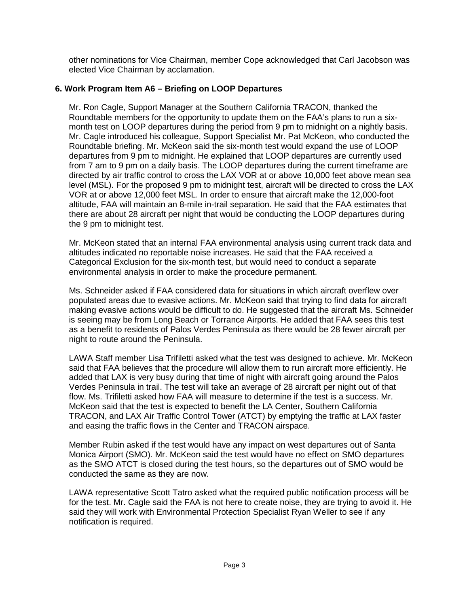other nominations for Vice Chairman, member Cope acknowledged that Carl Jacobson was elected Vice Chairman by acclamation.

## **6. Work Program Item A6 – Briefing on LOOP Departures**

Mr. Ron Cagle, Support Manager at the Southern California TRACON, thanked the Roundtable members for the opportunity to update them on the FAA's plans to run a sixmonth test on LOOP departures during the period from 9 pm to midnight on a nightly basis. Mr. Cagle introduced his colleague, Support Specialist Mr. Pat McKeon, who conducted the Roundtable briefing. Mr. McKeon said the six-month test would expand the use of LOOP departures from 9 pm to midnight. He explained that LOOP departures are currently used from 7 am to 9 pm on a daily basis. The LOOP departures during the current timeframe are directed by air traffic control to cross the LAX VOR at or above 10,000 feet above mean sea level (MSL). For the proposed 9 pm to midnight test, aircraft will be directed to cross the LAX VOR at or above 12,000 feet MSL. In order to ensure that aircraft make the 12,000-foot altitude, FAA will maintain an 8-mile in-trail separation. He said that the FAA estimates that there are about 28 aircraft per night that would be conducting the LOOP departures during the 9 pm to midnight test.

Mr. McKeon stated that an internal FAA environmental analysis using current track data and altitudes indicated no reportable noise increases. He said that the FAA received a Categorical Exclusion for the six-month test, but would need to conduct a separate environmental analysis in order to make the procedure permanent.

Ms. Schneider asked if FAA considered data for situations in which aircraft overflew over populated areas due to evasive actions. Mr. McKeon said that trying to find data for aircraft making evasive actions would be difficult to do. He suggested that the aircraft Ms. Schneider is seeing may be from Long Beach or Torrance Airports. He added that FAA sees this test as a benefit to residents of Palos Verdes Peninsula as there would be 28 fewer aircraft per night to route around the Peninsula.

LAWA Staff member Lisa Trifiletti asked what the test was designed to achieve. Mr. McKeon said that FAA believes that the procedure will allow them to run aircraft more efficiently. He added that LAX is very busy during that time of night with aircraft going around the Palos Verdes Peninsula in trail. The test will take an average of 28 aircraft per night out of that flow. Ms. Trifiletti asked how FAA will measure to determine if the test is a success. Mr. McKeon said that the test is expected to benefit the LA Center, Southern California TRACON, and LAX Air Traffic Control Tower (ATCT) by emptying the traffic at LAX faster and easing the traffic flows in the Center and TRACON airspace.

Member Rubin asked if the test would have any impact on west departures out of Santa Monica Airport (SMO). Mr. McKeon said the test would have no effect on SMO departures as the SMO ATCT is closed during the test hours, so the departures out of SMO would be conducted the same as they are now.

LAWA representative Scott Tatro asked what the required public notification process will be for the test. Mr. Cagle said the FAA is not here to create noise, they are trying to avoid it. He said they will work with Environmental Protection Specialist Ryan Weller to see if any notification is required.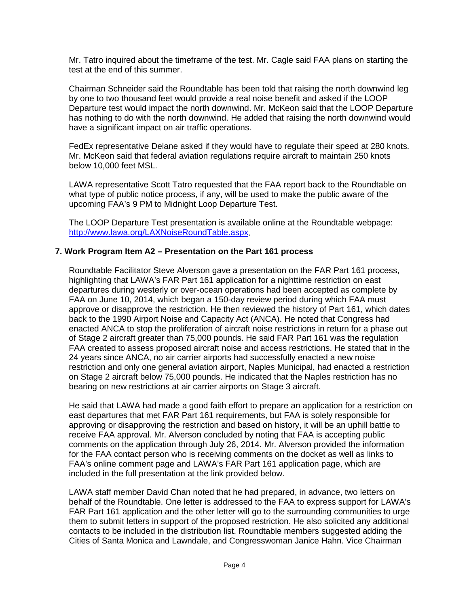Mr. Tatro inquired about the timeframe of the test. Mr. Cagle said FAA plans on starting the test at the end of this summer.

Chairman Schneider said the Roundtable has been told that raising the north downwind leg by one to two thousand feet would provide a real noise benefit and asked if the LOOP Departure test would impact the north downwind. Mr. McKeon said that the LOOP Departure has nothing to do with the north downwind. He added that raising the north downwind would have a significant impact on air traffic operations.

FedEx representative Delane asked if they would have to regulate their speed at 280 knots. Mr. McKeon said that federal aviation regulations require aircraft to maintain 250 knots below 10,000 feet MSL.

LAWA representative Scott Tatro requested that the FAA report back to the Roundtable on what type of public notice process, if any, will be used to make the public aware of the upcoming FAA's 9 PM to Midnight Loop Departure Test.

The LOOP Departure Test presentation is available online at the Roundtable webpage: [http://www.lawa.org/LAXNoiseRoundTable.aspx.](http://www.lawa.org/LAXNoiseRoundTable.aspx)

#### **7. Work Program Item A2 – Presentation on the Part 161 process**

Roundtable Facilitator Steve Alverson gave a presentation on the FAR Part 161 process, highlighting that LAWA's FAR Part 161 application for a nighttime restriction on east departures during westerly or over-ocean operations had been accepted as complete by FAA on June 10, 2014, which began a 150-day review period during which FAA must approve or disapprove the restriction. He then reviewed the history of Part 161, which dates back to the 1990 Airport Noise and Capacity Act (ANCA). He noted that Congress had enacted ANCA to stop the proliferation of aircraft noise restrictions in return for a phase out of Stage 2 aircraft greater than 75,000 pounds. He said FAR Part 161 was the regulation FAA created to assess proposed aircraft noise and access restrictions. He stated that in the 24 years since ANCA, no air carrier airports had successfully enacted a new noise restriction and only one general aviation airport, Naples Municipal, had enacted a restriction on Stage 2 aircraft below 75,000 pounds. He indicated that the Naples restriction has no bearing on new restrictions at air carrier airports on Stage 3 aircraft.

He said that LAWA had made a good faith effort to prepare an application for a restriction on east departures that met FAR Part 161 requirements, but FAA is solely responsible for approving or disapproving the restriction and based on history, it will be an uphill battle to receive FAA approval. Mr. Alverson concluded by noting that FAA is accepting public comments on the application through July 26, 2014. Mr. Alverson provided the information for the FAA contact person who is receiving comments on the docket as well as links to FAA's online comment page and LAWA's FAR Part 161 application page, which are included in the full presentation at the link provided below.

LAWA staff member David Chan noted that he had prepared, in advance, two letters on behalf of the Roundtable. One letter is addressed to the FAA to express support for LAWA's FAR Part 161 application and the other letter will go to the surrounding communities to urge them to submit letters in support of the proposed restriction. He also solicited any additional contacts to be included in the distribution list. Roundtable members suggested adding the Cities of Santa Monica and Lawndale, and Congresswoman Janice Hahn. Vice Chairman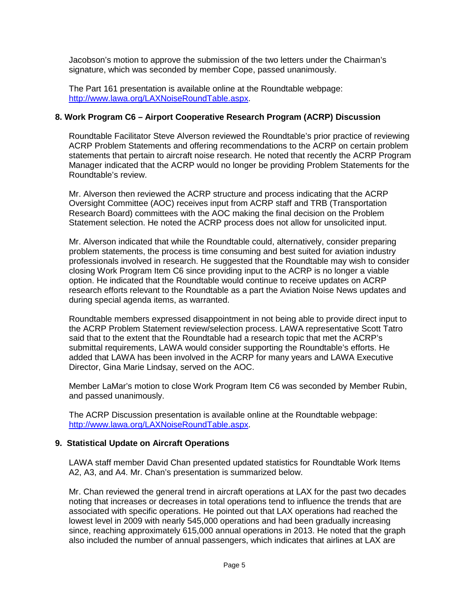Jacobson's motion to approve the submission of the two letters under the Chairman's signature, which was seconded by member Cope, passed unanimously.

The Part 161 presentation is available online at the Roundtable webpage: [http://www.lawa.org/LAXNoiseRoundTable.aspx.](http://www.lawa.org/LAXNoiseRoundTable.aspx)

#### **8. Work Program C6 – Airport Cooperative Research Program (ACRP) Discussion**

Roundtable Facilitator Steve Alverson reviewed the Roundtable's prior practice of reviewing ACRP Problem Statements and offering recommendations to the ACRP on certain problem statements that pertain to aircraft noise research. He noted that recently the ACRP Program Manager indicated that the ACRP would no longer be providing Problem Statements for the Roundtable's review.

Mr. Alverson then reviewed the ACRP structure and process indicating that the ACRP Oversight Committee (AOC) receives input from ACRP staff and TRB (Transportation Research Board) committees with the AOC making the final decision on the Problem Statement selection. He noted the ACRP process does not allow for unsolicited input.

Mr. Alverson indicated that while the Roundtable could, alternatively, consider preparing problem statements, the process is time consuming and best suited for aviation industry professionals involved in research. He suggested that the Roundtable may wish to consider closing Work Program Item C6 since providing input to the ACRP is no longer a viable option. He indicated that the Roundtable would continue to receive updates on ACRP research efforts relevant to the Roundtable as a part the Aviation Noise News updates and during special agenda items, as warranted.

Roundtable members expressed disappointment in not being able to provide direct input to the ACRP Problem Statement review/selection process. LAWA representative Scott Tatro said that to the extent that the Roundtable had a research topic that met the ACRP's submittal requirements, LAWA would consider supporting the Roundtable's efforts. He added that LAWA has been involved in the ACRP for many years and LAWA Executive Director, Gina Marie Lindsay, served on the AOC.

Member LaMar's motion to close Work Program Item C6 was seconded by Member Rubin, and passed unanimously.

The ACRP Discussion presentation is available online at the Roundtable webpage: [http://www.lawa.org/LAXNoiseRoundTable.aspx.](http://www.lawa.org/LAXNoiseRoundTable.aspx)

#### **9. Statistical Update on Aircraft Operations**

LAWA staff member David Chan presented updated statistics for Roundtable Work Items A2, A3, and A4. Mr. Chan's presentation is summarized below.

Mr. Chan reviewed the general trend in aircraft operations at LAX for the past two decades noting that increases or decreases in total operations tend to influence the trends that are associated with specific operations. He pointed out that LAX operations had reached the lowest level in 2009 with nearly 545,000 operations and had been gradually increasing since, reaching approximately 615,000 annual operations in 2013. He noted that the graph also included the number of annual passengers, which indicates that airlines at LAX are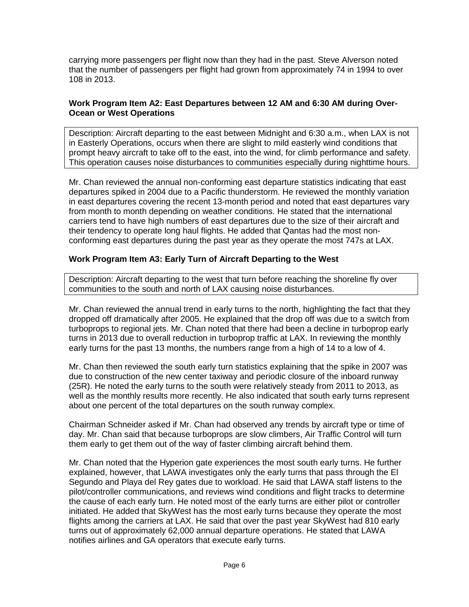carrying more passengers per flight now than they had in the past. Steve Alverson noted that the number of passengers per flight had grown from approximately 74 in 1994 to over 108 in 2013.

## **Work Program Item A2: East Departures between 12 AM and 6:30 AM during Over-Ocean or West Operations**

Description: Aircraft departing to the east between Midnight and 6:30 a.m., when LAX is not in Easterly Operations, occurs when there are slight to mild easterly wind conditions that prompt heavy aircraft to take off to the east, into the wind, for climb performance and safety. This operation causes noise disturbances to communities especially during nighttime hours.

Mr. Chan reviewed the annual non-conforming east departure statistics indicating that east departures spiked in 2004 due to a Pacific thunderstorm. He reviewed the monthly variation in east departures covering the recent 13-month period and noted that east departures vary from month to month depending on weather conditions. He stated that the international carriers tend to have high numbers of east departures due to the size of their aircraft and their tendency to operate long haul flights. He added that Qantas had the most nonconforming east departures during the past year as they operate the most 747s at LAX.

## **Work Program Item A3: Early Turn of Aircraft Departing to the West**

Description: Aircraft departing to the west that turn before reaching the shoreline fly over communities to the south and north of LAX causing noise disturbances.

Mr. Chan reviewed the annual trend in early turns to the north, highlighting the fact that they dropped off dramatically after 2005. He explained that the drop off was due to a switch from turboprops to regional jets. Mr. Chan noted that there had been a decline in turboprop early turns in 2013 due to overall reduction in turboprop traffic at LAX. In reviewing the monthly early turns for the past 13 months, the numbers range from a high of 14 to a low of 4.

Mr. Chan then reviewed the south early turn statistics explaining that the spike in 2007 was due to construction of the new center taxiway and periodic closure of the inboard runway (25R). He noted the early turns to the south were relatively steady from 2011 to 2013, as well as the monthly results more recently. He also indicated that south early turns represent about one percent of the total departures on the south runway complex.

Chairman Schneider asked if Mr. Chan had observed any trends by aircraft type or time of day. Mr. Chan said that because turboprops are slow climbers, Air Traffic Control will turn them early to get them out of the way of faster climbing aircraft behind them.

Mr. Chan noted that the Hyperion gate experiences the most south early turns. He further explained, however, that LAWA investigates only the early turns that pass through the El Segundo and Playa del Rey gates due to workload. He said that LAWA staff listens to the pilot/controller communications, and reviews wind conditions and flight tracks to determine the cause of each early turn. He noted most of the early turns are either pilot or controller initiated. He added that SkyWest has the most early turns because they operate the most flights among the carriers at LAX. He said that over the past year SkyWest had 810 early turns out of approximately 62,000 annual departure operations. He stated that LAWA notifies airlines and GA operators that execute early turns.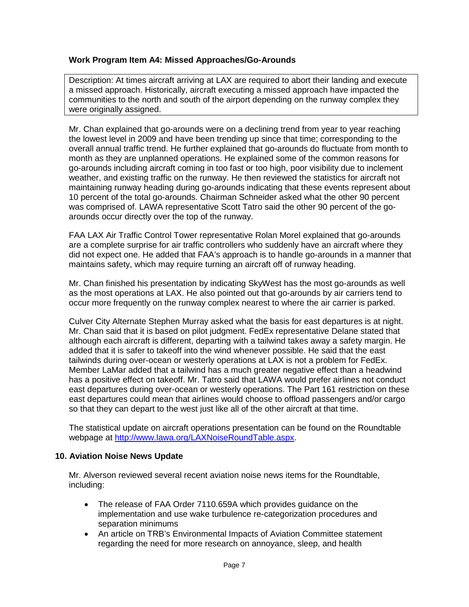## **Work Program Item A4: Missed Approaches/Go-Arounds**

Description: At times aircraft arriving at LAX are required to abort their landing and execute a missed approach. Historically, aircraft executing a missed approach have impacted the communities to the north and south of the airport depending on the runway complex they were originally assigned.

Mr. Chan explained that go-arounds were on a declining trend from year to year reaching the lowest level in 2009 and have been trending up since that time; corresponding to the overall annual traffic trend. He further explained that go-arounds do fluctuate from month to month as they are unplanned operations. He explained some of the common reasons for go-arounds including aircraft coming in too fast or too high, poor visibility due to inclement weather, and existing traffic on the runway. He then reviewed the statistics for aircraft not maintaining runway heading during go-arounds indicating that these events represent about 10 percent of the total go-arounds. Chairman Schneider asked what the other 90 percent was comprised of. LAWA representative Scott Tatro said the other 90 percent of the goarounds occur directly over the top of the runway.

FAA LAX Air Traffic Control Tower representative Rolan Morel explained that go-arounds are a complete surprise for air traffic controllers who suddenly have an aircraft where they did not expect one. He added that FAA's approach is to handle go-arounds in a manner that maintains safety, which may require turning an aircraft off of runway heading.

Mr. Chan finished his presentation by indicating SkyWest has the most go-arounds as well as the most operations at LAX. He also pointed out that go-arounds by air carriers tend to occur more frequently on the runway complex nearest to where the air carrier is parked.

Culver City Alternate Stephen Murray asked what the basis for east departures is at night. Mr. Chan said that it is based on pilot judgment. FedEx representative Delane stated that although each aircraft is different, departing with a tailwind takes away a safety margin. He added that it is safer to takeoff into the wind whenever possible. He said that the east tailwinds during over-ocean or westerly operations at LAX is not a problem for FedEx. Member LaMar added that a tailwind has a much greater negative effect than a headwind has a positive effect on takeoff. Mr. Tatro said that LAWA would prefer airlines not conduct east departures during over-ocean or westerly operations. The Part 161 restriction on these east departures could mean that airlines would choose to offload passengers and/or cargo so that they can depart to the west just like all of the other aircraft at that time.

The statistical update on aircraft operations presentation can be found on the Roundtable webpage at [http://www.lawa.org/LAXNoiseRoundTable.aspx.](http://www.lawa.org/LAXNoiseRoundTable.aspx)

#### **10. Aviation Noise News Update**

Mr. Alverson reviewed several recent aviation noise news items for the Roundtable, including:

- The release of FAA Order 7110.659A which provides guidance on the implementation and use wake turbulence re-categorization procedures and separation minimums
- An article on TRB's Environmental Impacts of Aviation Committee statement regarding the need for more research on annoyance, sleep, and health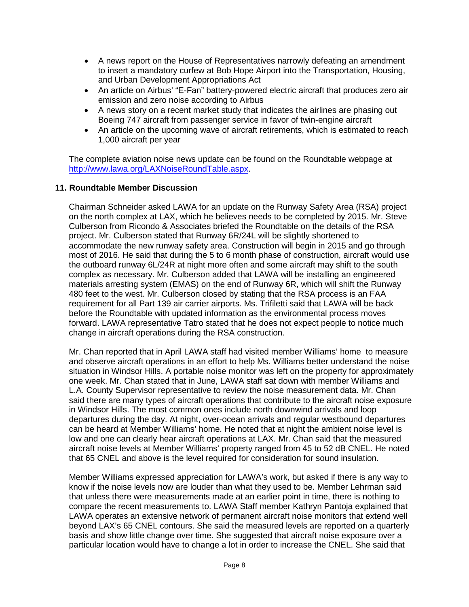- A news report on the House of Representatives narrowly defeating an amendment to insert a mandatory curfew at Bob Hope Airport into the Transportation, Housing, and Urban Development Appropriations Act
- An article on Airbus' "E-Fan" battery-powered electric aircraft that produces zero air emission and zero noise according to Airbus
- A news story on a recent market study that indicates the airlines are phasing out Boeing 747 aircraft from passenger service in favor of twin-engine aircraft
- An article on the upcoming wave of aircraft retirements, which is estimated to reach 1,000 aircraft per year

The complete aviation noise news update can be found on the Roundtable webpage at [http://www.lawa.org/LAXNoiseRoundTable.aspx.](http://www.lawa.org/LAXNoiseRoundTable.aspx)

#### **11. Roundtable Member Discussion**

Chairman Schneider asked LAWA for an update on the Runway Safety Area (RSA) project on the north complex at LAX, which he believes needs to be completed by 2015. Mr. Steve Culberson from Ricondo & Associates briefed the Roundtable on the details of the RSA project. Mr. Culberson stated that Runway 6R/24L will be slightly shortened to accommodate the new runway safety area. Construction will begin in 2015 and go through most of 2016. He said that during the 5 to 6 month phase of construction, aircraft would use the outboard runway 6L/24R at night more often and some aircraft may shift to the south complex as necessary. Mr. Culberson added that LAWA will be installing an engineered materials arresting system (EMAS) on the end of Runway 6R, which will shift the Runway 480 feet to the west. Mr. Culberson closed by stating that the RSA process is an FAA requirement for all Part 139 air carrier airports. Ms. Trifiletti said that LAWA will be back before the Roundtable with updated information as the environmental process moves forward. LAWA representative Tatro stated that he does not expect people to notice much change in aircraft operations during the RSA construction.

Mr. Chan reported that in April LAWA staff had visited member Williams' home to measure and observe aircraft operations in an effort to help Ms. Williams better understand the noise situation in Windsor Hills. A portable noise monitor was left on the property for approximately one week. Mr. Chan stated that in June, LAWA staff sat down with member Williams and L.A. County Supervisor representative to review the noise measurement data. Mr. Chan said there are many types of aircraft operations that contribute to the aircraft noise exposure in Windsor Hills. The most common ones include north downwind arrivals and loop departures during the day. At night, over-ocean arrivals and regular westbound departures can be heard at Member Williams' home. He noted that at night the ambient noise level is low and one can clearly hear aircraft operations at LAX. Mr. Chan said that the measured aircraft noise levels at Member Williams' property ranged from 45 to 52 dB CNEL. He noted that 65 CNEL and above is the level required for consideration for sound insulation.

Member Williams expressed appreciation for LAWA's work, but asked if there is any way to know if the noise levels now are louder than what they used to be. Member Lehrman said that unless there were measurements made at an earlier point in time, there is nothing to compare the recent measurements to. LAWA Staff member Kathryn Pantoja explained that LAWA operates an extensive network of permanent aircraft noise monitors that extend well beyond LAX's 65 CNEL contours. She said the measured levels are reported on a quarterly basis and show little change over time. She suggested that aircraft noise exposure over a particular location would have to change a lot in order to increase the CNEL. She said that